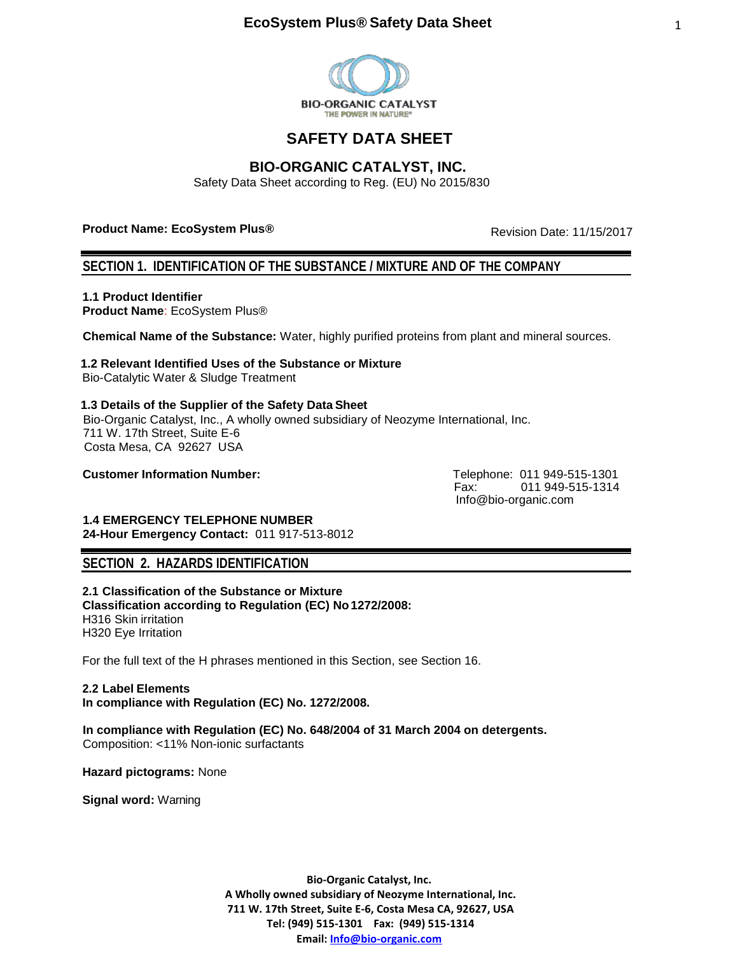

# **SAFETY DATA SHEET**

# **BIO-ORGANIC CATALYST, INC.**

Safety Data Sheet according to Reg. (EU) No 2015/830

# **Product Name: EcoSystem Plus®**

Revision Date: 11/15/2017

# **SECTION 1. IDENTIFICATION OF THE SUBSTANCE / MIXTURE AND OF THE COMPANY**

**1.1 Product Identifier**

**Product Name**: EcoSystem Plus®

**Chemical Name of the Substance:** Water, highly purified proteins from plant and mineral sources.

# **1.2 Relevant Identified Uses of the Substance or Mixture**

Bio-Catalytic Water & Sludge Treatment

# **1.3 Details of the Supplier of the Safety Data Sheet**

Bio-Organic Catalyst, Inc., A wholly owned subsidiary of Neozyme International, Inc. 711 W. 17th Street, Suite E-6 Costa Mesa, CA 92627 USA

**Customer Information Number:** Telephone: 011 949-515-1301

 Fax: 011 949-515-1314 [Info@bio-organic.com](mailto:Info@bio-organic.com)

**1.4 EMERGENCY TELEPHONE NUMBER 24-Hour Emergency Contact:** 011 917-513-8012

# **SECTION 2. HAZARDS IDENTIFICATION**

**2.1 Classification of the Substance or Mixture Classification according to Regulation (EC) No1272/2008:**  H316 Skin irritation H320 Eye Irritation

For the full text of the H phrases mentioned in this Section, see Section 16.

**2.2 Label Elements In compliance with Regulation (EC) No. 1272/2008.** 

**In compliance with Regulation (EC) No. 648/2004 of 31 March 2004 on detergents.** Composition: <11% Non-ionic surfactants

**Hazard pictograms:** None

**Signal word:** Warning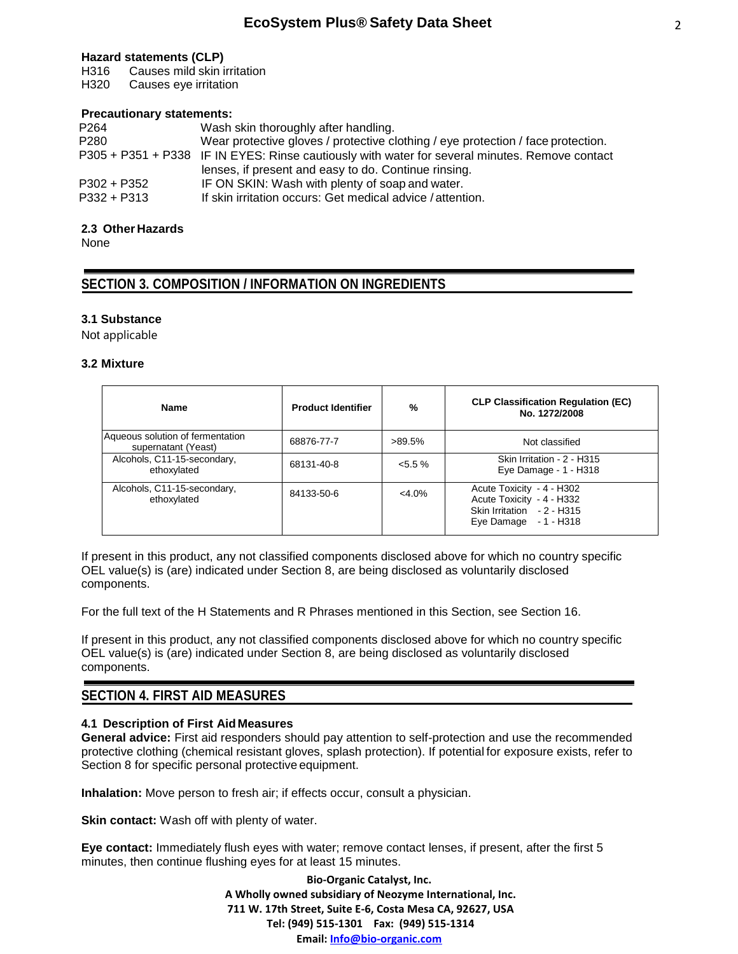### **Hazard statements (CLP)**

H316 Causes mild skin irritation

H320 Causes eye irritation

# **Precautionary statements:**

| P <sub>264</sub> | Wash skin thoroughly after handling.                                                           |
|------------------|------------------------------------------------------------------------------------------------|
| P <sub>280</sub> | Wear protective gloves / protective clothing / eye protection / face protection.               |
|                  | P305 + P351 + P338 IF IN EYES: Rinse cautiously with water for several minutes. Remove contact |
|                  | lenses, if present and easy to do. Continue rinsing.                                           |
| $P302 + P352$    | IF ON SKIN: Wash with plenty of soap and water.                                                |
| $P332 + P313$    | If skin irritation occurs: Get medical advice / attention.                                     |

# **2.3 Other Hazards**

None

# **SECTION 3. COMPOSITION / INFORMATION ON INGREDIENTS**

# **3.1 Substance**

Not applicable

### **3.2 Mixture**

| Name                                                    | <b>Product Identifier</b> | %          | <b>CLP Classification Regulation (EC)</b><br>No. 1272/2008                                                    |
|---------------------------------------------------------|---------------------------|------------|---------------------------------------------------------------------------------------------------------------|
| Aqueous solution of fermentation<br>supernatant (Yeast) | 68876-77-7                | $>89.5\%$  | Not classified                                                                                                |
| Alcohols, C11-15-secondary,<br>ethoxylated              | 68131-40-8                | $< 5.5 \%$ | Skin Irritation - 2 - H315<br>Eye Damage - 1 - H318                                                           |
| Alcohols, C11-15-secondary,<br>ethoxylated              | 84133-50-6                | $<4.0\%$   | Acute Toxicity - 4 - H302<br>Acute Toxicity - 4 - H332<br>Skin Irritation - 2 - H315<br>Eye Damage - 1 - H318 |

If present in this product, any not classified components disclosed above for which no country specific OEL value(s) is (are) indicated under Section 8, are being disclosed as voluntarily disclosed components.

For the full text of the H Statements and R Phrases mentioned in this Section, see Section 16.

If present in this product, any not classified components disclosed above for which no country specific OEL value(s) is (are) indicated under Section 8, are being disclosed as voluntarily disclosed components.

# **SECTION 4. FIRST AID MEASURES**

# **4.1 Description of First Aid Measures**

**General advice:** First aid responders should pay attention to self-protection and use the recommended protective clothing (chemical resistant gloves, splash protection). If potential for exposure exists, refer to Section 8 for specific personal protective equipment.

**Inhalation:** Move person to fresh air; if effects occur, consult a physician.

**Skin contact:** Wash off with plenty of water.

**Eye contact:** Immediately flush eyes with water; remove contact lenses, if present, after the first 5 minutes, then continue flushing eyes for at least 15 minutes.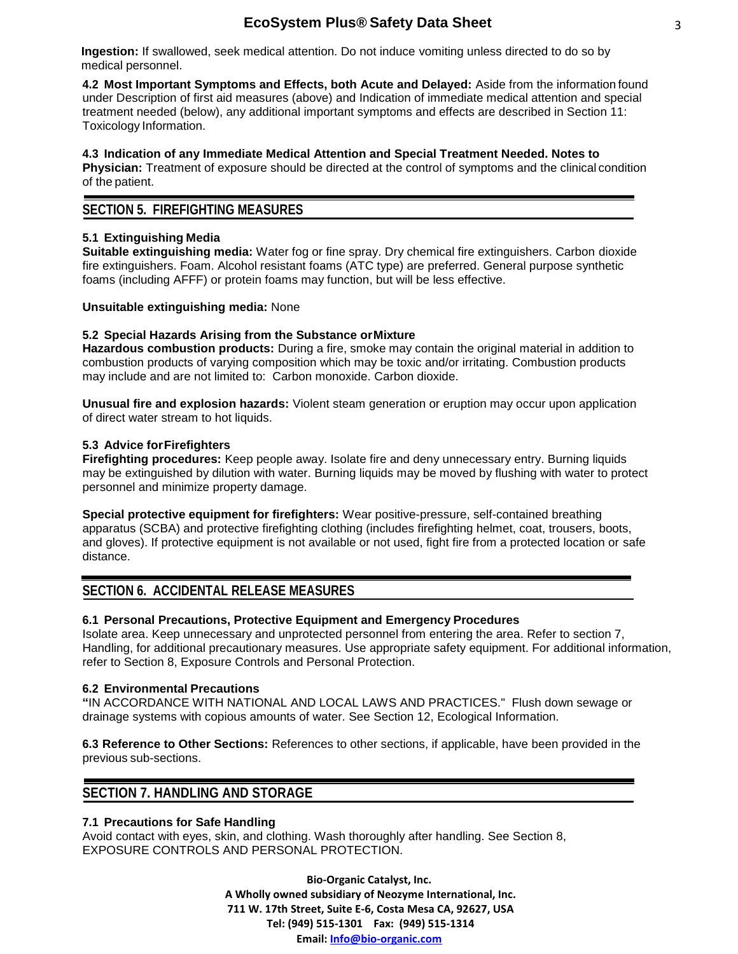**Ingestion:** If swallowed, seek medical attention. Do not induce vomiting unless directed to do so by medical personnel.

**4.2 Most Important Symptoms and Effects, both Acute and Delayed:** Aside from the information found under Description of first aid measures (above) and Indication of immediate medical attention and special treatment needed (below), any additional important symptoms and effects are described in Section 11: Toxicology Information.

**4.3 Indication of any Immediate Medical Attention and Special Treatment Needed. Notes to Physician:** Treatment of exposure should be directed at the control of symptoms and the clinical condition of the patient.

# **SECTION 5. FIREFIGHTING MEASURES**

# **5.1 Extinguishing Media**

**Suitable extinguishing media:** Water fog or fine spray. Dry chemical fire extinguishers. Carbon dioxide fire extinguishers. Foam. Alcohol resistant foams (ATC type) are preferred. General purpose synthetic foams (including AFFF) or protein foams may function, but will be less effective.

### **Unsuitable extinguishing media:** None

# **5.2 Special Hazards Arising from the Substance orMixture**

**Hazardous combustion products:** During a fire, smoke may contain the original material in addition to combustion products of varying composition which may be toxic and/or irritating. Combustion products may include and are not limited to: Carbon monoxide. Carbon dioxide.

**Unusual fire and explosion hazards:** Violent steam generation or eruption may occur upon application of direct water stream to hot liquids.

# **5.3 Advice forFirefighters**

**Firefighting procedures:** Keep people away. Isolate fire and deny unnecessary entry. Burning liquids may be extinguished by dilution with water. Burning liquids may be moved by flushing with water to protect personnel and minimize property damage.

**Special protective equipment for firefighters:** Wear positive-pressure, self-contained breathing apparatus (SCBA) and protective firefighting clothing (includes firefighting helmet, coat, trousers, boots, and gloves). If protective equipment is not available or not used, fight fire from a protected location or safe distance.

# **SECTION 6. ACCIDENTAL RELEASE MEASURES**

# **6.1 Personal Precautions, Protective Equipment and Emergency Procedures**

Isolate area. Keep unnecessary and unprotected personnel from entering the area. Refer to section 7, Handling, for additional precautionary measures. Use appropriate safety equipment. For additional information, refer to Section 8, Exposure Controls and Personal Protection.

### **6.2 Environmental Precautions**

**"**IN ACCORDANCE WITH NATIONAL AND LOCAL LAWS AND PRACTICES." Flush down sewage or drainage systems with copious amounts of water. See Section 12, Ecological Information.

**6.3 Reference to Other Sections:** References to other sections, if applicable, have been provided in the previous sub-sections.

# **SECTION 7. HANDLING AND STORAGE**

# **7.1 Precautions for Safe Handling**

Avoid contact with eyes, skin, and clothing. Wash thoroughly after handling. See Section 8, EXPOSURE CONTROLS AND PERSONAL PROTECTION.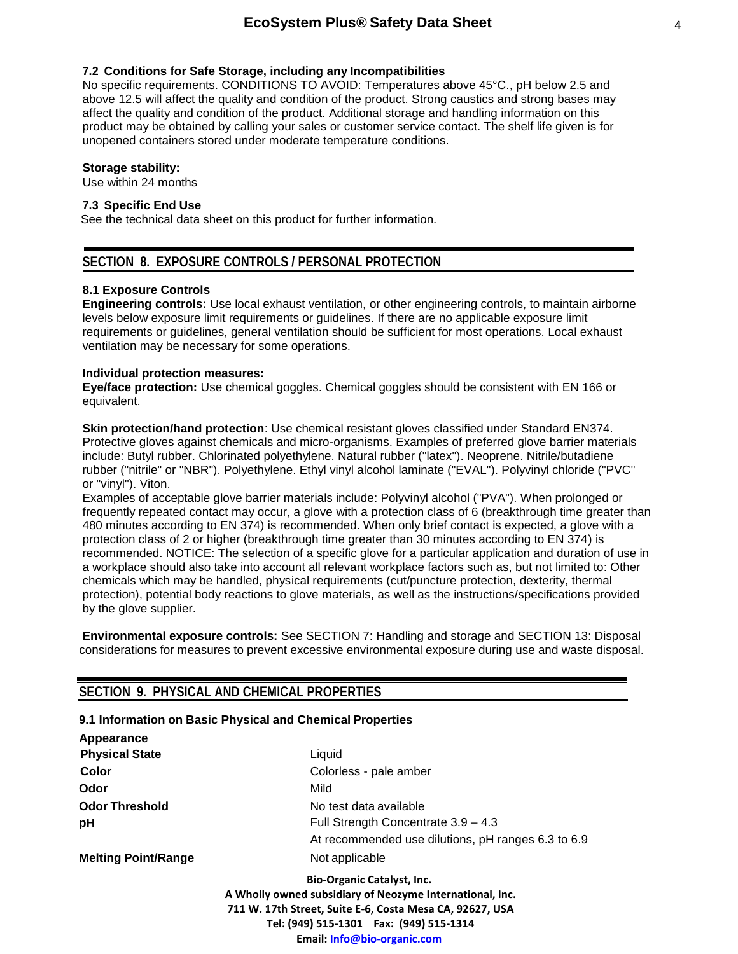#### **7.2 Conditions for Safe Storage, including any Incompatibilities**

No specific requirements. CONDITIONS TO AVOID: Temperatures above 45°C., pH below 2.5 and above 12.5 will affect the quality and condition of the product. Strong caustics and strong bases may affect the quality and condition of the product. Additional storage and handling information on this product may be obtained by calling your sales or customer service contact. The shelf life given is for unopened containers stored under moderate temperature conditions.

#### **Storage stability:**

Use within 24 months

# **7.3 Specific End Use**

See the technical data sheet on this product for further information.

# **SECTION 8. EXPOSURE CONTROLS / PERSONAL PROTECTION**

#### **8.1 Exposure Controls**

**Engineering controls:** Use local exhaust ventilation, or other engineering controls, to maintain airborne levels below exposure limit requirements or guidelines. If there are no applicable exposure limit requirements or guidelines, general ventilation should be sufficient for most operations. Local exhaust ventilation may be necessary for some operations.

#### **Individual protection measures:**

**Eye/face protection:** Use chemical goggles. Chemical goggles should be consistent with EN 166 or equivalent.

**Skin protection/hand protection**: Use chemical resistant gloves classified under Standard EN374. Protective gloves against chemicals and micro-organisms. Examples of preferred glove barrier materials include: Butyl rubber. Chlorinated polyethylene. Natural rubber ("latex"). Neoprene. Nitrile/butadiene rubber ("nitrile" or "NBR"). Polyethylene. Ethyl vinyl alcohol laminate ("EVAL"). Polyvinyl chloride ("PVC" or "vinyl"). Viton.

Examples of acceptable glove barrier materials include: Polyvinyl alcohol ("PVA"). When prolonged or frequently repeated contact may occur, a glove with a protection class of 6 (breakthrough time greater than 480 minutes according to EN 374) is recommended. When only brief contact is expected, a glove with a protection class of 2 or higher (breakthrough time greater than 30 minutes according to EN 374) is recommended. NOTICE: The selection of a specific glove for a particular application and duration of use in a workplace should also take into account all relevant workplace factors such as, but not limited to: Other chemicals which may be handled, physical requirements (cut/puncture protection, dexterity, thermal protection), potential body reactions to glove materials, as well as the instructions/specifications provided by the glove supplier.

**Environmental exposure controls:** See SECTION 7: Handling and storage and SECTION 13: Disposal considerations for measures to prevent excessive environmental exposure during use and waste disposal.

# **SECTION 9. PHYSICAL AND CHEMICAL PROPERTIES**

#### **9.1 Information on Basic Physical and Chemical Properties**

| Liquid                                                                                                                                                                                                                               |
|--------------------------------------------------------------------------------------------------------------------------------------------------------------------------------------------------------------------------------------|
| Colorless - pale amber                                                                                                                                                                                                               |
| Mild                                                                                                                                                                                                                                 |
| No test data available                                                                                                                                                                                                               |
| Full Strength Concentrate 3.9 - 4.3                                                                                                                                                                                                  |
| At recommended use dilutions, pH ranges 6.3 to 6.9                                                                                                                                                                                   |
| Not applicable                                                                                                                                                                                                                       |
| <b>Bio-Organic Catalyst, Inc.</b><br>A Wholly owned subsidiary of Neozyme International, Inc.<br>711 W. 17th Street, Suite E-6, Costa Mesa CA, 92627, USA<br>Tel: (949) 515-1301  Fax: (949) 515-1314<br>Email: Info@bio-organic.com |
|                                                                                                                                                                                                                                      |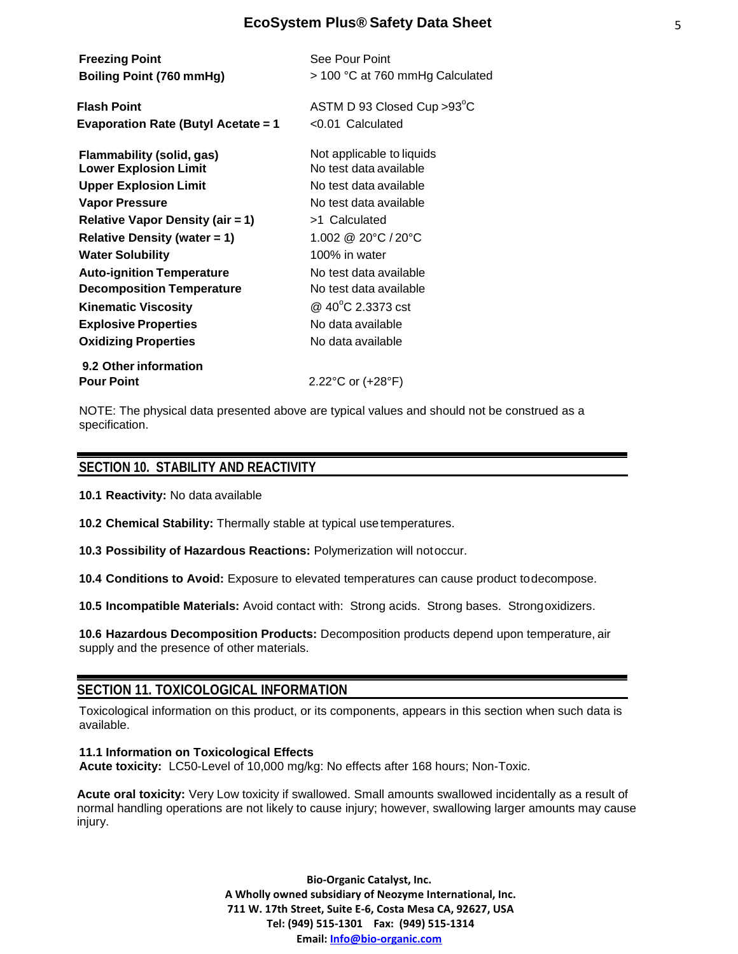| <b>Freezing Point</b><br>Boiling Point (760 mmHg)                | See Pour Point<br>> 100 °C at 760 mmHg Calculated   |
|------------------------------------------------------------------|-----------------------------------------------------|
| <b>Flash Point</b><br><b>Evaporation Rate (Butyl Acetate = 1</b> | ASTM D 93 Closed Cup > 93°C<br>$< 0.01$ Calculated  |
| Flammability (solid, gas)<br><b>Lower Explosion Limit</b>        | Not applicable to liquids<br>No test data available |
| <b>Upper Explosion Limit</b>                                     | No test data available                              |
| Vapor Pressure                                                   | No test data available                              |
| <b>Relative Vapor Density (air = 1)</b>                          | >1 Calculated                                       |
| <b>Relative Density (water = 1)</b>                              | 1.002 @ 20°C / 20°C                                 |
| <b>Water Solubility</b>                                          | 100% in water                                       |
| <b>Auto-ignition Temperature</b>                                 | No test data available                              |
| <b>Decomposition Temperature</b>                                 | No test data available                              |
| <b>Kinematic Viscosity</b>                                       | @ 40°C 2.3373 cst                                   |
| <b>Explosive Properties</b>                                      | No data available                                   |
| <b>Oxidizing Properties</b>                                      | No data available                                   |
| 9.2 Other information                                            |                                                     |
| <b>Pour Point</b>                                                | 2.22°C or (+28°F)                                   |

NOTE: The physical data presented above are typical values and should not be construed as a specification.

# **SECTION 10. STABILITY AND REACTIVITY**

**10.1 Reactivity:** No data available

**10.2 Chemical Stability:** Thermally stable at typical usetemperatures.

**10.3 Possibility of Hazardous Reactions:** Polymerization will notoccur.

**10.4 Conditions to Avoid:** Exposure to elevated temperatures can cause product todecompose.

**10.5 Incompatible Materials:** Avoid contact with: Strong acids. Strong bases. Strongoxidizers.

**10.6 Hazardous Decomposition Products:** Decomposition products depend upon temperature, air supply and the presence of other materials.

# **SECTION 11. TOXICOLOGICAL INFORMATION**

Toxicological information on this product, or its components, appears in this section when such data is available.

**11.1 Information on Toxicological Effects Acute toxicity:** LC50-Level of 10,000 mg/kg: No effects after 168 hours; Non-Toxic.

**Acute oral toxicity:** Very Low toxicity if swallowed. Small amounts swallowed incidentally as a result of normal handling operations are not likely to cause injury; however, swallowing larger amounts may cause injury.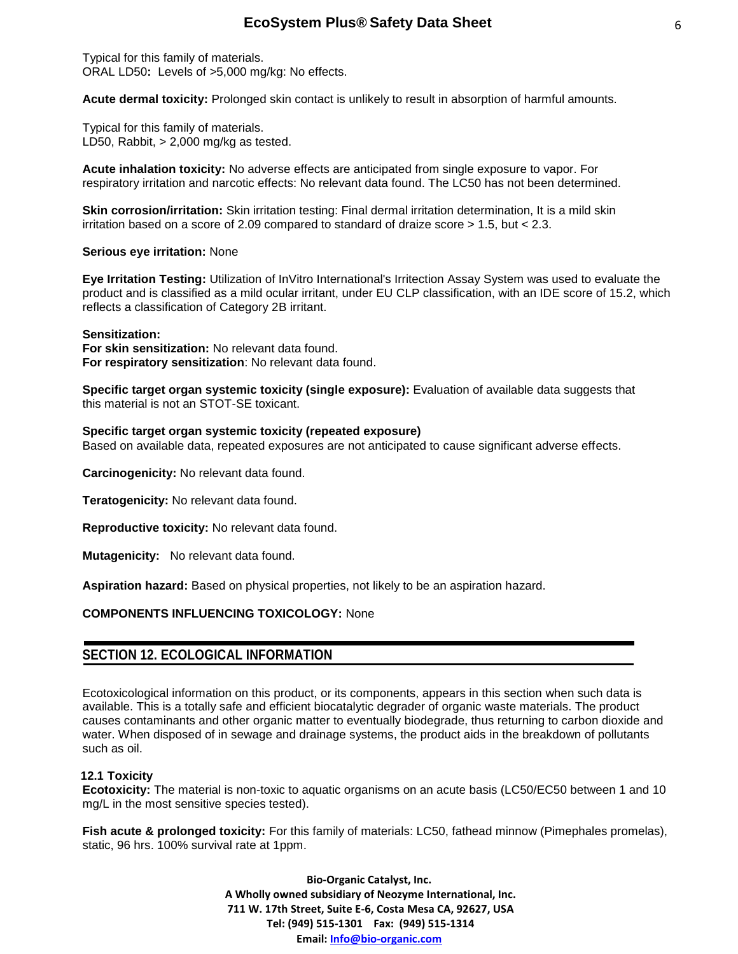Typical for this family of materials. ORAL LD50**:** Levels of >5,000 mg/kg: No effects.

**Acute dermal toxicity:** Prolonged skin contact is unlikely to result in absorption of harmful amounts.

Typical for this family of materials. LD50, Rabbit,  $> 2,000$  mg/kg as tested.

**Acute inhalation toxicity:** No adverse effects are anticipated from single exposure to vapor. For respiratory irritation and narcotic effects: No relevant data found. The LC50 has not been determined.

**Skin corrosion/irritation:** Skin irritation testing: Final dermal irritation determination, It is a mild skin irritation based on a score of 2.09 compared to standard of draize score > 1.5, but < 2.3.

#### **Serious eye irritation:** None

**Eye Irritation Testing:** Utilization of InVitro International's Irritection Assay System was used to evaluate the product and is classified as a mild ocular irritant, under EU CLP classification, with an IDE score of 15.2, which reflects a classification of Category 2B irritant.

#### **Sensitization:**

**For skin sensitization:** No relevant data found. **For respiratory sensitization**: No relevant data found.

**Specific target organ systemic toxicity (single exposure):** Evaluation of available data suggests that this material is not an STOT-SE toxicant.

#### **Specific target organ systemic toxicity (repeated exposure)**

Based on available data, repeated exposures are not anticipated to cause significant adverse effects.

**Carcinogenicity:** No relevant data found.

**Teratogenicity:** No relevant data found.

**Reproductive toxicity:** No relevant data found.

**Mutagenicity:** No relevant data found.

**Aspiration hazard:** Based on physical properties, not likely to be an aspiration hazard.

### **COMPONENTS INFLUENCING TOXICOLOGY:** None

# **SECTION 12. ECOLOGICAL INFORMATION**

Ecotoxicological information on this product, or its components, appears in this section when such data is available. This is a totally safe and efficient biocatalytic degrader of organic waste materials. The product causes contaminants and other organic matter to eventually biodegrade, thus returning to carbon dioxide and water. When disposed of in sewage and drainage systems, the product aids in the breakdown of pollutants such as oil.

### **12.1 Toxicity**

**Ecotoxicity:** The material is non-toxic to aquatic organisms on an acute basis (LC50/EC50 between 1 and 10 mg/L in the most sensitive species tested).

**Fish acute & prolonged toxicity:** For this family of materials: LC50, fathead minnow (Pimephales promelas), static, 96 hrs. 100% survival rate at 1ppm.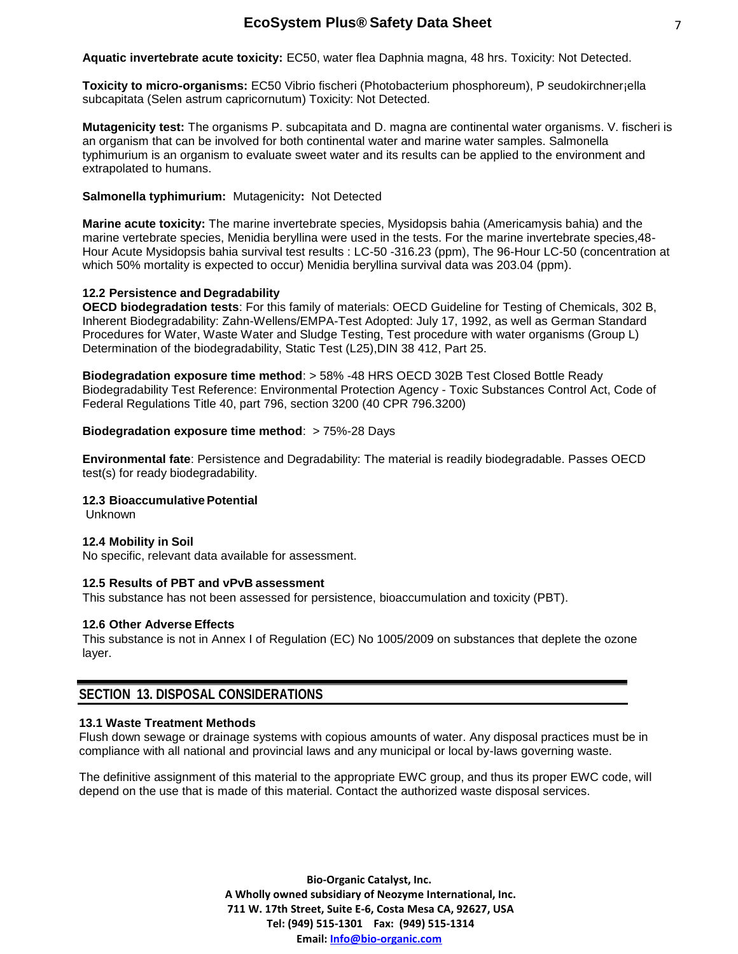**Aquatic invertebrate acute toxicity:** EC50, water flea Daphnia magna, 48 hrs. Toxicity: Not Detected.

**Toxicity to micro-organisms:** EC50 Vibrio fischeri (Photobacterium phosphoreum), P seudokirchner¡ella subcapitata (Selen astrum capricornutum) Toxicity: Not Detected.

**Mutagenicity test:** The organisms P. subcapitata and D. magna are continental water organisms. V. fischeri is an organism that can be involved for both continental water and marine water samples. Salmonella typhimurium is an organism to evaluate sweet water and its results can be applied to the environment and extrapolated to humans.

### **Salmonella typhimurium:** Mutagenicity**:** Not Detected

**Marine acute toxicity:** The marine invertebrate species, Mysidopsis bahia (Americamysis bahia) and the marine vertebrate species, Menidia beryllina were used in the tests. For the marine invertebrate species,48- Hour Acute Mysidopsis bahia survival test results : LC-50 -316.23 (ppm), The 96-Hour LC-50 (concentration at which 50% mortality is expected to occur) Menidia beryllina survival data was 203.04 (ppm).

# **12.2 Persistence and Degradability**

**OECD biodegradation tests**: For this family of materials: OECD Guideline for Testing of Chemicals, 302 B, Inherent Biodegradability: Zahn-Wellens/EMPA-Test Adopted: July 17, 1992, as well as German Standard Procedures for Water, Waste Water and Sludge Testing, Test procedure with water organisms (Group L) Determination of the biodegradability, Static Test (L25), DIN 38 412, Part 25.

**Biodegradation exposure time method**: > 58% -48 HRS OECD 302B Test Closed Bottle Ready Biodegradability Test Reference: Environmental Protection Agency - Toxic Substances Control Act, Code of Federal Regulations Title 40, part 796, section 3200 (40 CPR 796.3200)

# **Biodegradation exposure time method: > 75%-28 Days**

**Environmental fate**: Persistence and Degradability: The material is readily biodegradable. Passes OECD test(s) for ready biodegradability.

### **12.3 BioaccumulativePotential**

Unknown

### **12.4 Mobility in Soil**

No specific, relevant data available for assessment.

### **12.5 Results of PBT and vPvB assessment**

This substance has not been assessed for persistence, bioaccumulation and toxicity (PBT).

### **12.6 Other Adverse Effects**

This substance is not in Annex I of Regulation (EC) No 1005/2009 on substances that deplete the ozone layer.

# **SECTION 13. DISPOSAL CONSIDERATIONS**

### **13.1 Waste Treatment Methods**

Flush down sewage or drainage systems with copious amounts of water. Any disposal practices must be in compliance with all national and provincial laws and any municipal or local by-laws governing waste.

The definitive assignment of this material to the appropriate EWC group, and thus its proper EWC code, will depend on the use that is made of this material. Contact the authorized waste disposal services.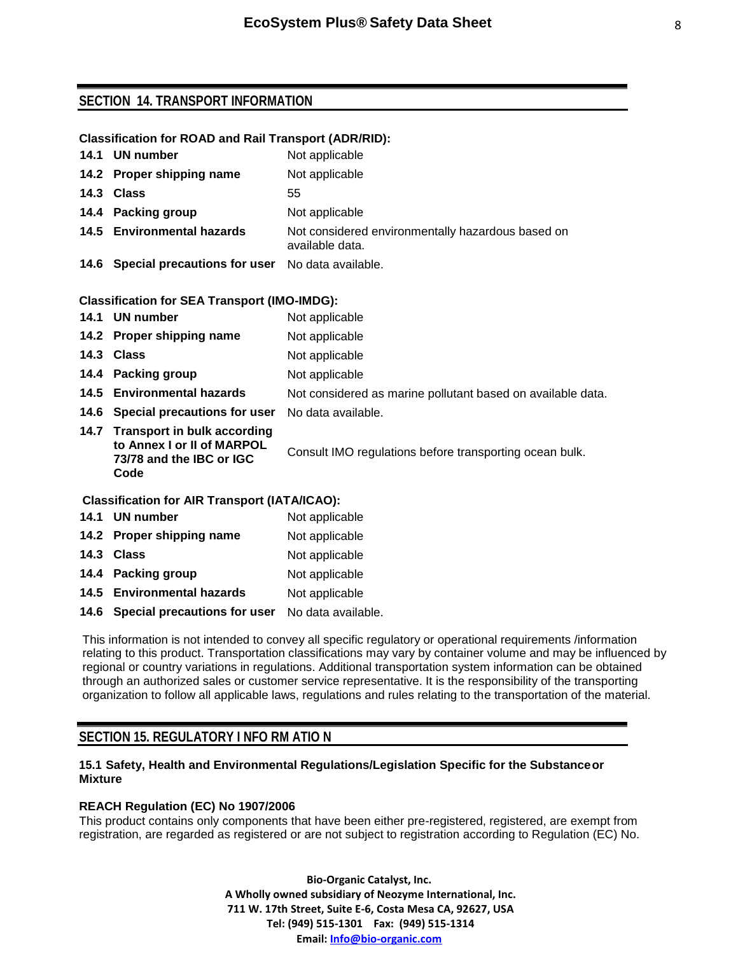# **SECTION 14. TRANSPORT INFORMATION**

# **Classification for ROAD and Rail Transport (ADR/RID):**

| 14.1 UN number                                       | Not applicable                                                       |
|------------------------------------------------------|----------------------------------------------------------------------|
| 14.2 Proper shipping name                            | Not applicable                                                       |
| 14.3 Class                                           | 55                                                                   |
| 14.4 Packing group                                   | Not applicable                                                       |
| 14.5 Environmental hazards                           | Not considered environmentally hazardous based on<br>available data. |
| 14.6 Special precautions for user No data available. |                                                                      |

### **Classification for SEA Transport (IMO-IMDG):**

|                                                      | 14.1 UN number                                                                                     | Not applicable                                              |
|------------------------------------------------------|----------------------------------------------------------------------------------------------------|-------------------------------------------------------------|
|                                                      | 14.2 Proper shipping name                                                                          | Not applicable                                              |
|                                                      | 14.3 Class                                                                                         | Not applicable                                              |
|                                                      | 14.4 Packing group                                                                                 | Not applicable                                              |
|                                                      | 14.5 Environmental hazards                                                                         | Not considered as marine pollutant based on available data. |
|                                                      | 14.6 Special precautions for user                                                                  | No data available.                                          |
|                                                      | 14.7 Transport in bulk according<br>to Annex I or II of MARPOL<br>73/78 and the IBC or IGC<br>Code | Consult IMO regulations before transporting ocean bulk.     |
| <b>Classification for AIR Transport (IATA/ICAO):</b> |                                                                                                    |                                                             |

# **Classification for AIR Transport (IATA/ICAO):**

| 14.1 UN number                                       | Not applicable |
|------------------------------------------------------|----------------|
| 14.2 Proper shipping name                            | Not applicable |
| 14.3 Class                                           | Not applicable |
| 14.4 Packing group                                   | Not applicable |
| 14.5 Environmental hazards                           | Not applicable |
| 14.6 Special precautions for user No data available. |                |

This information is not intended to convey all specific regulatory or operational requirements /information relating to this product. Transportation classifications may vary by container volume and may be influenced by regional or country variations in regulations. Additional transportation system information can be obtained through an authorized sales or customer service representative. It is the responsibility of the transporting organization to follow all applicable laws, regulations and rules relating to the transportation of the material.

# **SECTION 15. REGULATORY I NFO RM ATIO N**

# **15.1 Safety, Health and Environmental Regulations/Legislation Specific for the Substanceor Mixture**

# **REACH Regulation (EC) No 1907/2006**

This product contains only components that have been either pre-registered, registered, are exempt from registration, are regarded as registered or are not subject to registration according to Regulation (EC) No.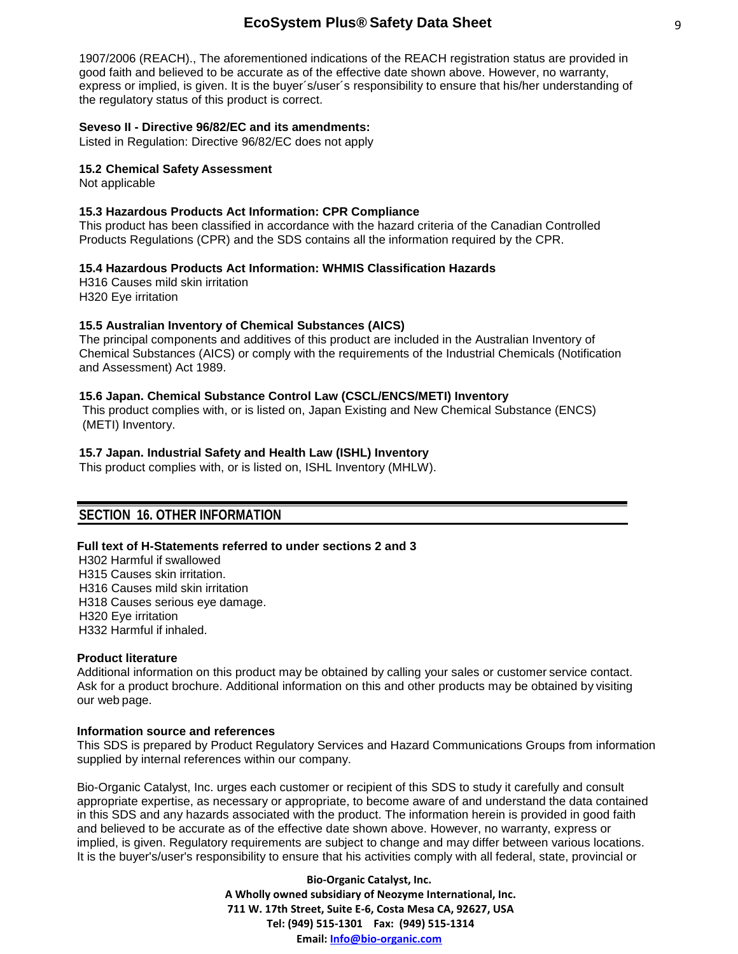1907/2006 (REACH)., The aforementioned indications of the REACH registration status are provided in good faith and believed to be accurate as of the effective date shown above. However, no warranty, express or implied, is given. It is the buyer´s/user´s responsibility to ensure that his/her understanding of the regulatory status of this product is correct.

#### **Seveso II - Directive 96/82/EC and its amendments:**

Listed in Regulation: Directive 96/82/EC does not apply

#### **15.2 Chemical Safety Assessment**

Not applicable

#### **15.3 Hazardous Products Act Information: CPR Compliance**

This product has been classified in accordance with the hazard criteria of the Canadian Controlled Products Regulations (CPR) and the SDS contains all the information required by the CPR.

#### **15.4 Hazardous Products Act Information: WHMIS Classification Hazards**

H316 Causes mild skin irritation H320 Eye irritation

### **15.5 Australian Inventory of Chemical Substances (AICS)**

The principal components and additives of this product are included in the Australian Inventory of Chemical Substances (AICS) or comply with the requirements of the Industrial Chemicals (Notification and Assessment) Act 1989.

#### **15.6 Japan. Chemical Substance Control Law (CSCL/ENCS/METI) Inventory**

This product complies with, or is listed on, Japan Existing and New Chemical Substance (ENCS) (METI) Inventory.

#### **15.7 Japan. Industrial Safety and Health Law (ISHL) Inventory**

This product complies with, or is listed on, ISHL Inventory (MHLW).

# **SECTION 16. OTHER INFORMATION**

#### **Full text of H-Statements referred to under sections 2 and 3**

 H302 Harmful if swallowed H315 Causes skin irritation. H316 Causes mild skin irritation H318 Causes serious eye damage. H320 Eye irritation H332 Harmful if inhaled.

#### **Product literature**

Additional information on this product may be obtained by calling your sales or customer service contact. Ask for a product brochure. Additional information on this and other products may be obtained by visiting our web page.

#### **Information source and references**

This SDS is prepared by Product Regulatory Services and Hazard Communications Groups from information supplied by internal references within our company.

Bio-Organic Catalyst, Inc. urges each customer or recipient of this SDS to study it carefully and consult appropriate expertise, as necessary or appropriate, to become aware of and understand the data contained in this SDS and any hazards associated with the product. The information herein is provided in good faith and believed to be accurate as of the effective date shown above. However, no warranty, express or implied, is given. Regulatory requirements are subject to change and may differ between various locations. It is the buyer's/user's responsibility to ensure that his activities comply with all federal, state, provincial or